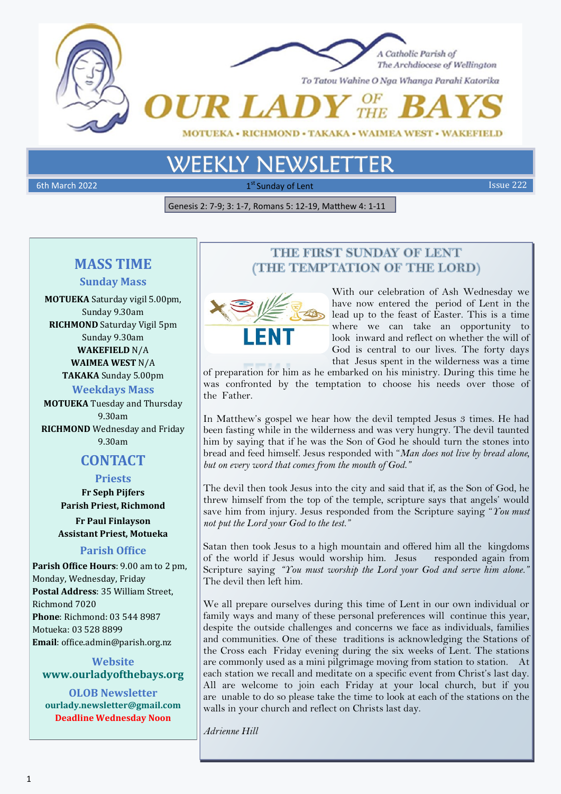

# **WEEKLY NEWSL**

6th March 2022 **1** st  $1^{\text{st}}$  Sunday of Lent Issue 222 **Issue 222** 

Genesis 2: 7-9; 3: 1-7, Romans 5: 12-19, Matthew 4: 1-11

# **MASS TIME**

# **Sunday Mass**

**MOTUEKA** Saturday vigil 5.00pm, Sunday 9.30am **RICHMOND** Saturday Vigil 5pm Sunday 9.30am **WAKEFIELD** N/A **WAIMEA WEST** N/A **TAKAKA** Sunday 5.00pm **Weekdays Mass MOTUEKA** Tuesday and Thursday

9.30am **RICHMOND** Wednesday and Friday 9.30am

# **CONTACT**

**Priests Fr Seph Pijfers Parish Priest, Richmond**

**Fr Paul Finlayson Assistant Priest, Motueka**

# **Parish Office**

**Parish Office Hours**: 9.00 am to 2 pm, Monday, Wednesday, Friday **Postal Address**: 35 William Street, Richmond 7020 **Phone**: Richmond: 03 544 8987 Motueka: 03 528 8899 **Email**: office.admin@parish.org.nz

# **Website www.ourladyofthebays.org**

**OLOB Newsletter ourlady.newsletter@gmail.com Deadline Wednesday Noon**

# THE FIRST SUNDAY OF LENT (THE TEMPTATION OF THE LORD)



With our celebration of Ash Wednesday we have now entered the period of Lent in the lead up to the feast of Easter. This is a time where we can take an opportunity to look inward and reflect on whether the will of God is central to our lives. The forty days that Jesus spent in the wilderness was a time

of preparation for him as he embarked on his ministry. During this time he was confronted by the temptation to choose his needs over those of the Father.

In Matthew's gospel we hear how the devil tempted Jesus 3 times. He had been fasting while in the wilderness and was very hungry. The devil taunted him by saying that if he was the Son of God he should turn the stones into bread and feed himself. Jesus responded with "*Man does not live by bread alone, but on every word that comes from the mouth of God."* 

The devil then took Jesus into the city and said that if, as the Son of God, he threw himself from the top of the temple, scripture says that angels' would save him from injury. Jesus responded from the Scripture saying "*You must not put the Lord your God to the test."*

Satan then took Jesus to a high mountain and offered him all the kingdoms of the world if Jesus would worship him. Jesus responded again from Scripture saying *"You must worship the Lord your God and serve him alone."*  The devil then left him.

We all prepare ourselves during this time of Lent in our own individual or family ways and many of these personal preferences will continue this year, despite the outside challenges and concerns we face as individuals, families and communities. One of these traditions is acknowledging the Stations of the Cross each Friday evening during the six weeks of Lent. The stations are commonly used as a mini pilgrimage moving from station to station. At each station we recall and meditate on a specific event from Christ's last day. All are welcome to join each Friday at your local church, but if you are unable to do so please take the time to look at each of the stations on the walls in your church and reflect on Christs last day.

*Adrienne Hill*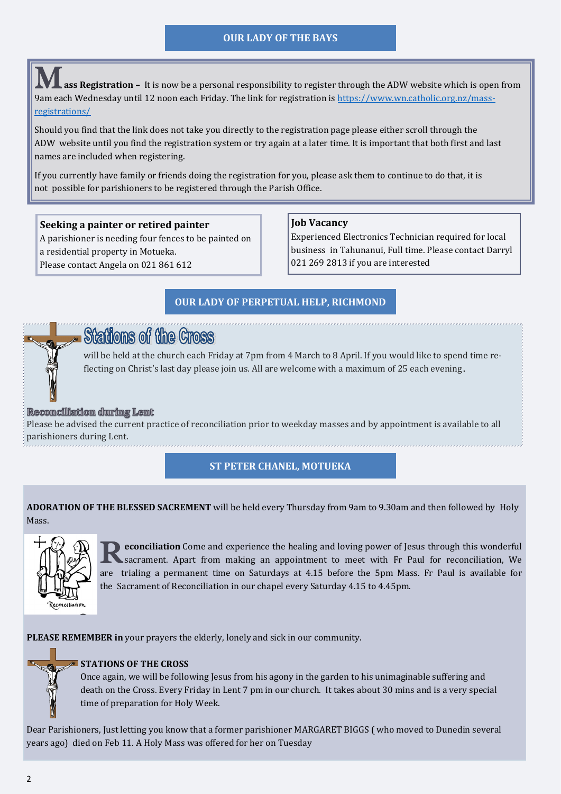# **OUR LADY OF THE BAYS**

ass Registration – It is now be a personal responsibility to register through the ADW website which is open from 9am each Wednesday until 12 noon each Friday. The link for registration is [https://www.wn.catholic.org.nz/mass](https://www.wn.catholic.org.nz/mass-registrations/)[registrations/](https://www.wn.catholic.org.nz/mass-registrations/)

Should you find that the link does not take you directly to the registration page please either scroll through the ADW website until you find the registration system or try again at a later time. It is important that both first and last names are included when registering.

If you currently have family or friends doing the registration for you, please ask them to continue to do that, it is not possible for parishioners to be registered through the Parish Office.

#### **Seeking a painter or retired painter**

A parishioner is needing four fences to be painted on a residential property in Motueka. Please contact Angela on 021 861 612

#### **Job Vacancy**

Experienced Electronics Technician required for local business in Tahunanui, Full time. Please contact Darryl 021 269 2813 if you are interested

....................

# **OUR LADY OF PERPETUAL HELP, RICHMOND**



# **Stations of the Cross**

will be held at the church each Friday at 7pm from 4 March to 8 April. If you would like to spend time reflecting on Christ's last day please join us. All are welcome with a maximum of 25 each evening.

#### Recomcilliation during Lent

Please be advised the current practice of reconciliation prior to weekday masses and by appointment is available to all parishioners during Lent.

## **ST PETER CHANEL, MOTUEKA**

**ADORATION OF THE BLESSED SACREMENT** will be held every Thursday from 9am to 9.30am and then followed by Holy Mass.



**R** econciliation Come and experience the healing and loving power of Jesus through this wonderful sacrament. Apart from making an appointment to meet with Fr Paul for reconciliation, We sacrament. Apart from making an appointment to meet with Fr Paul for reconciliation, We are trialing a permanent time on Saturdays at 4.15 before the 5pm Mass. Fr Paul is available for the Sacrament of Reconciliation in our chapel every Saturday 4.15 to 4.45pm.

**PLEASE REMEMBER in** your prayers the elderly, lonely and sick in our community.

## **STATIONS OF THE CROSS**

Once again, we will be following Jesus from his agony in the garden to his unimaginable suffering and death on the Cross. Every Friday in Lent 7 pm in our church. It takes about 30 mins and is a very special time of preparation for Holy Week.

Dear Parishioners, Just letting you know that a former parishioner MARGARET BIGGS ( who moved to Dunedin several years ago) died on Feb 11. A Holy Mass was offered for her on Tuesday